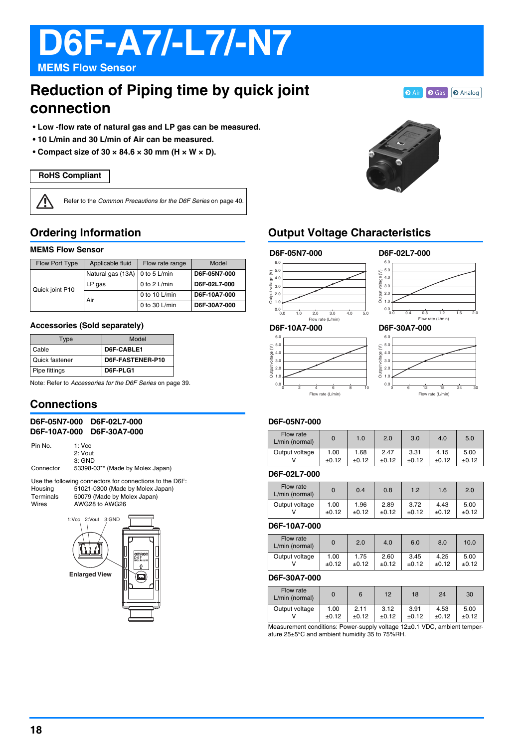# **D6F-A7/-L7/-N7**

**MEMS Flow Sensor**

# **Reduction of Piping time by quick joint connection**

**• Low -flow rate of natural gas and LP gas can be measured.**

- **10 L/min and 30 L/min of Air can be measured.**
- Compact size of  $30 \times 84.6 \times 30$  mm (H  $\times$  W  $\times$  D).

#### **RoHS Compliant**

⁄≬

Refer to the Common Precautions for the D6F Series on page 40.

# **Ordering Information**

#### **MEMS Flow Sensor**

| Flow Port Type  | Applicable fluid<br>Flow rate range |                 | Model        |  |
|-----------------|-------------------------------------|-----------------|--------------|--|
| Quick joint P10 | Natural gas (13A) 0 to 5 L/min      |                 | D6F-05N7-000 |  |
|                 | $LP$ gas                            | 0 to 2 L/min    | D6F-02L7-000 |  |
|                 | Air                                 | 0 to 10 $L/min$ | D6F-10A7-000 |  |
|                 |                                     | 0 to 30 $L/min$ | D6F-30A7-000 |  |

#### **Accessories (Sold separately)**

| Type           | Model            |
|----------------|------------------|
| Cable          | D6F-CABLE1       |
| Quick fastener | D6F-FASTENER-P10 |
| Pipe fittings  | D6F-PLG1         |

Note: Refer to Accessories for the D6F Series on page 39.

## **Connections**

| D6F-05N7-000 |                                 | D6F-02L7-000                     |  |
|--------------|---------------------------------|----------------------------------|--|
| D6F-10A7-000 |                                 | D6F-30A7-000                     |  |
| Pin No.      | $1:$ Vcc<br>2: Vout<br>$3:$ GND |                                  |  |
| Connector    |                                 | 53398-03** (Made by Molex Japan) |  |

Use the following connectors for connections to the D6F: Housing 51021-0300 (Made by Molex Japan) Terminals 50079 (Made by Molex Japan)<br>Wires AWG28 to AWG26 AWG28 to AWG26





# **Output Voltage Characteristics**

#### **D6F-05N7-000 D6F-02L7-000**





**O** Air **O** Gas **O** Analog

#### **D6F-10A7-000**





Flow rate (L/min)

#### **D6F-05N7-000**

| Flow rate<br>L/min (normal) |         | 1.0     | 2.0     | 3.0     | 4.0     | 5.0     |
|-----------------------------|---------|---------|---------|---------|---------|---------|
| Output voltage              | 1.00    | 1.68    | 2.47    | 3.31    | 4.15    | 5.00    |
|                             | $+0.12$ | $+0.12$ | $+0.12$ | $+0.12$ | $+0.12$ | $+0.12$ |

#### **D6F-02L7-000**

| Flow rate<br>L/min (normal) | 0     | 0.4     | 0.8     | 1.2     | 1.6     | 2.0   |
|-----------------------------|-------|---------|---------|---------|---------|-------|
| Output voltage              | 1.00  | 1.96    | 2.89    | 3.72    | 4.43    | 5.00  |
|                             | ±0.12 | $+0.12$ | $+0.12$ | $+0.12$ | $+0.12$ | ±0.12 |

#### **D6F-10A7-000**

| Flow rate<br>L/min (normal) | 0     | 2.0     | 4.0     | 6.0     | 8.0     | 10.0  |
|-----------------------------|-------|---------|---------|---------|---------|-------|
| Output voltage              | 1.00  | 1.75    | 2.60    | 3.45    | 4.25    | 5.00  |
|                             | ±0.12 | $+0.12$ | $+0.12$ | $+0.12$ | $+0.12$ | ±0.12 |
|                             |       |         |         |         |         |       |

### **D6F-30A7-000**

| Flow rate<br>L/min (normal)                                                     |               | 6               | 12              | 18              | 24              | 30              |
|---------------------------------------------------------------------------------|---------------|-----------------|-----------------|-----------------|-----------------|-----------------|
| Output voltage                                                                  | 1.00<br>±0.12 | 2.11<br>$+0.12$ | 3.12<br>$+0.12$ | 3.91<br>$+0.12$ | 4.53<br>$+0.12$ | 5.00<br>$+0.12$ |
| $M$ equirement conditions: Rewer supply veltage $12+0, 1$ $NDC$ embient temper- |               |                 |                 |                 |                 |                 |

0.1 VDC, ambient tempe ature 25±5°C and ambient humidity 35 to 75%RH.